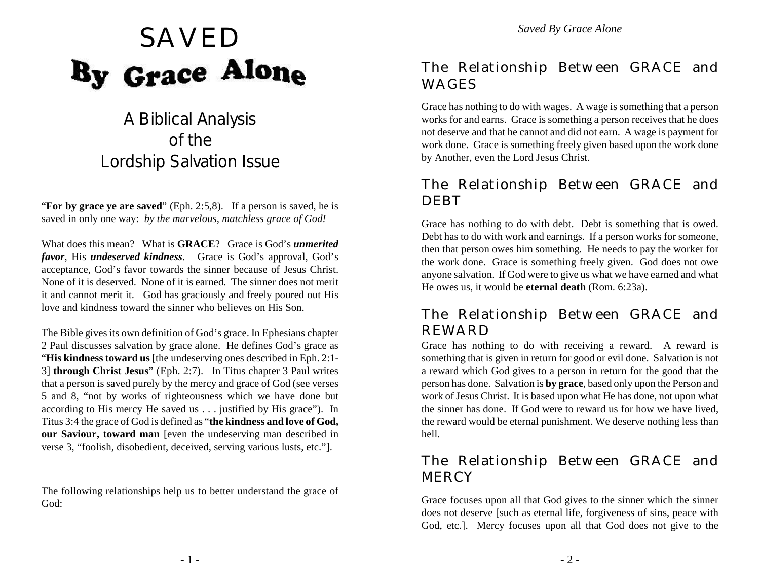

# SAVED<br>By Grace Alone

# A Biblical Analysis of the Lordship Salvation Issue

"**For by grace ye are saved**" (Eph. 2:5,8). If a person is saved, he is saved in only one way: *by the marvelous, matchless grace of God!* 

What does this mean? What is **GRACE**? Grace is God's *unmerited favor*, His *undeserved kindness*. Grace is God's approval, God's acceptance, God's favor towards the sinner because of Jesus Christ. None of it is deserved. None of it is earned. The sinner does not merit it and cannot merit it. God has graciously and freely poured out His love and kindness toward the sinner who believes on His Son.

The Bible gives its own definition of God's grace. In Ephesians chapter 2 Paul discusses salvation by grace alone. He defines God's grace as "**His kindness toward us** [the undeserving ones described in Eph. 2:1- 3] **through Christ Jesus**" (Eph. 2:7). In Titus chapter 3 Paul writes that a person is saved purely by the mercy and grace of God (see verses 5 and 8, "not by works of righteousness which we have done but according to His mercy He saved us . . . justified by His grace"). In Titus 3:4 the grace of God is defined as "**the kindness and love of God, our Saviour, toward man** [even the undeserving man described in verse 3, "foolish, disobedient, deceived, serving various lusts, etc."].

The following relationships help us to better understand the grace of God:

## The Relationship Between GRACE and WAGES

Grace has nothing to do with wages. A wage is something that a person works for and earns. Grace is something a person receives that he does not deserve and that he cannot and did not earn. A wage is payment for work done. Grace is something freely given based upon the work done by Another, even the Lord Jesus Christ.

# The Relationship Between GRACE and DEBT

Grace has nothing to do with debt. Debt is something that is owed. Debt has to do with work and earnings. If a person works for someone, then that person owes him something. He needs to pay the worker for the work done. Grace is something freely given. God does not owe anyone salvation. If God were to give us what we have earned and what He owes us, it would be **eternal death** (Rom. 6:23a).

# The Relationship Between GRACE and REWARD

Grace has nothing to do with receiving a reward. A reward is something that is given in return for good or evil done. Salvation is not a reward which God gives to a person in return for the good that the person has done. Salvation is **by grace**, based only upon the Person and work of Jesus Christ. It is based upon what He has done, not upon what the sinner has done. If God were to reward us for how we have lived, the reward would be eternal punishment. We deserve nothing less than hell.

## The Relationship Between GRACE and **MERCY**

Grace focuses upon all that God gives to the sinner which the sinner does not deserve [such as eternal life, forgiveness of sins, peace with God, etc.]. Mercy focuses upon all that God does not give to the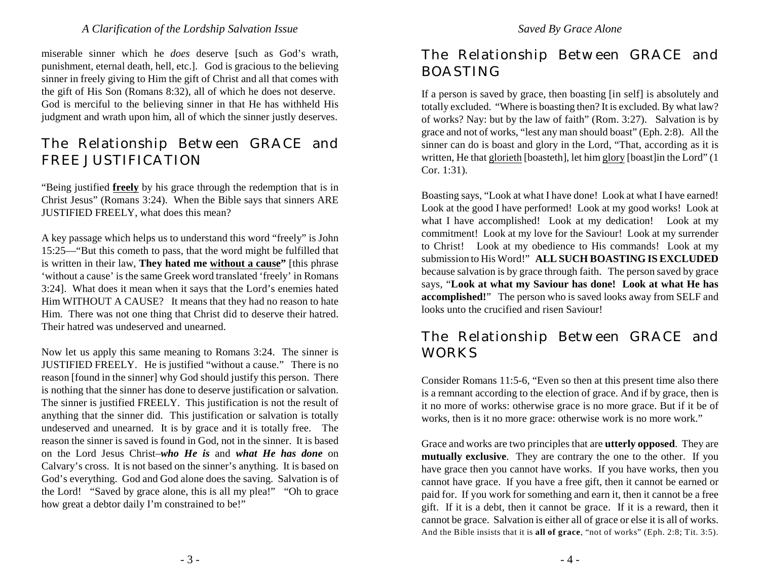miserable sinner which he *does* deserve [such as God's wrath, punishment, eternal death, hell, etc.]. God is gracious to the believing sinner in freely giving to Him the gift of Christ and all that comes with the gift of His Son (Romans 8:32), all of which he does not deserve. God is merciful to the believing sinner in that He has withheld His judgment and wrath upon him, all of which the sinner justly deserves.

# The Relationship Between GRACE and FREE JUSTIFICATION

"Being justified **freely** by his grace through the redemption that is in Christ Jesus" (Romans 3:24). When the Bible says that sinners ARE JUSTIFIED FREELY, what does this mean?

A key passage which helps us to understand this word "freely" is John 15:25—"But this cometh to pass, that the word might be fulfilled that is written in their law, **They hated me without a cause"** [this phrase 'without a cause' is the same Greek word translated 'freely' in Romans 3:24]. What does it mean when it says that the Lord's enemies hated Him WITHOUT A CAUSE? It means that they had no reason to hate Him. There was not one thing that Christ did to deserve their hatred. Their hatred was undeserved and unearned.

Now let us apply this same meaning to Romans 3:24. The sinner is JUSTIFIED FREELY. He is justified "without a cause." There is no reason [found in the sinner] why God should justify this person. There is nothing that the sinner has done to deserve justification or salvation. The sinner is justified FREELY. This justification is not the result of anything that the sinner did. This justification or salvation is totally undeserved and unearned. It is by grace and it is totally free. The reason the sinner is saved is found in God, not in the sinner. It is based on the Lord Jesus Christ–*who He is* and *what He has done* on Calvary's cross. It is not based on the sinner's anything. It is based on God's everything. God and God alone does the saving. Salvation is of the Lord! "Saved by grace alone, this is all my plea!" "Oh to grace how great a debtor daily I'm constrained to be!"

# The Relationship Between GRACE and BOASTING

If a person is saved by grace, then boasting [in self] is absolutely and totally excluded. "Where is boasting then? It is excluded. By what law? of works? Nay: but by the law of faith" (Rom. 3:27). Salvation is by grace and not of works, "lest any man should boast" (Eph. 2:8). All the sinner can do is boast and glory in the Lord, "That, according as it is written, He that glorieth [boasteth], let him glory [boast]in the Lord" (1 Cor. 1:31).

Boasting says, "Look at what I have done! Look at what I have earned! Look at the good I have performed! Look at my good works! Look at what I have accomplished! Look at my dedication! Look at my commitment! Look at my love for the Saviour! Look at my surrender to Christ! Look at my obedience to His commands! Look at my submission to His Word!" **ALL SUCH BOASTING IS EXCLUDED** because salvation is by grace through faith. The person saved by grace says, "**Look at what my Saviour has done! Look at what He has accomplished!**" The person who is saved looks away from SELF and looks unto the crucified and risen Saviour!

## The Relationship Between GRACE and WORKS

Consider Romans 11:5-6, "Even so then at this present time also there is a remnant according to the election of grace. And if by grace, then is it no more of works: otherwise grace is no more grace. But if it be of works, then is it no more grace: otherwise work is no more work."

Grace and works are two principles that are **utterly opposed**. They are **mutually exclusive**. They are contrary the one to the other. If you have grace then you cannot have works. If you have works, then you cannot have grace. If you have a free gift, then it cannot be earned or paid for. If you work for something and earn it, then it cannot be a free gift. If it is a debt, then it cannot be grace. If it is a reward, then it cannot be grace. Salvation is either all of grace or else it is all of works. And the Bible insists that it is **all of grace**, "not of works" (Eph. 2:8; Tit. 3:5).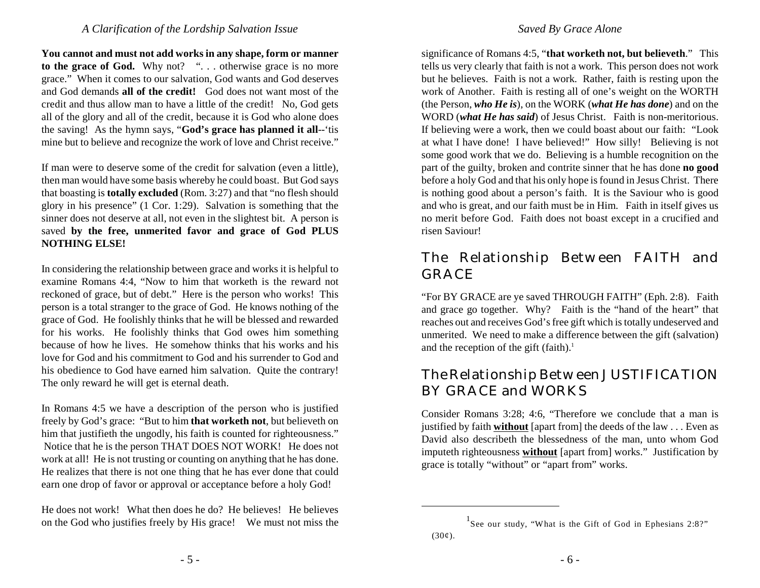**You cannot and must not add works in any shape, form or manner** to the grace of God. Why not? ". . . otherwise grace is no more grace." When it comes to our salvation, God wants and God deserves and God demands **all of the credit!** God does not want most of the credit and thus allow man to have a little of the credit! No, God gets all of the glory and all of the credit, because it is God who alone does the saving! As the hymn says, "**God's grace has planned it all**--'tis mine but to believe and recognize the work of love and Christ receive."

If man were to deserve some of the credit for salvation (even a little), then man would have some basis whereby he could boast. But God says that boasting is **totally excluded** (Rom. 3:27) and that "no flesh should glory in his presence" (1 Cor. 1:29). Salvation is something that the sinner does not deserve at all, not even in the slightest bit. A person is saved **by the free, unmerited favor and grace of God PLUS NOTHING ELSE!**

In considering the relationship between grace and works it is helpful to examine Romans 4:4, "Now to him that worketh is the reward not reckoned of grace, but of debt." Here is the person who works! This person is a total stranger to the grace of God. He knows nothing of the grace of God. He foolishly thinks that he will be blessed and rewarded for his works. He foolishly thinks that God owes him something because of how he lives. He somehow thinks that his works and his love for God and his commitment to God and his surrender to God and his obedience to God have earned him salvation. Quite the contrary! The only reward he will get is eternal death.

In Romans 4:5 we have a description of the person who is justified freely by God's grace: "But to him **that worketh not**, but believeth on him that justifieth the ungodly, his faith is counted for righteousness." Notice that he is the person THAT DOES NOT WORK! He does not work at all! He is not trusting or counting on anything that he has done. He realizes that there is not one thing that he has ever done that could earn one drop of favor or approval or acceptance before a holy God!

He does not work! What then does he do? He believes! He believes on the God who justifies freely by His grace! We must not miss the significance of Romans 4:5, "**that worketh not, but believeth**." This tells us very clearly that faith is not a work. This person does not work but he believes. Faith is not a work. Rather, faith is resting upon the work of Another. Faith is resting all of one's weight on the WORTH (the Person, *who He is*), on the WORK (*what He has done*) and on the WORD (*what He has said*) of Jesus Christ. Faith is non-meritorious. If believing were a work, then we could boast about our faith: "Look at what I have done! I have believed!" How silly! Believing is not some good work that we do. Believing is a humble recognition on the part of the guilty, broken and contrite sinner that he has done **no good** before a holy God and that his only hope is found in Jesus Christ. There is nothing good about a person's faith. It is the Saviour who is good and who is great, and our faith must be in Him. Faith in itself gives us no merit before God. Faith does not boast except in a crucified and risen Saviour!

# The Relationship Between FAITH and GRACE

"For BY GRACE are ye saved THROUGH FAITH" (Eph. 2:8). Faith and grace go together. Why? Faith is the "hand of the heart" that reaches out and receives God's free gift which is totally undeserved and unmerited. We need to make a difference between the gift (salvation) and the reception of the gift (faith). 1

# The Relationship Between JUSTIFICATION BY GRACE and WORKS

Consider Romans 3:28; 4:6, "Therefore we conclude that a man is justified by faith **without** [apart from] the deeds of the law . . . Even as David also describeth the blessedness of the man, unto whom God imputeth righteousness **without** [apart from] works." Justification by grace is totally "without" or "apart from" works.

See our study, "What is the Gift of God in Ephesians 2:8?"  $(30¢).$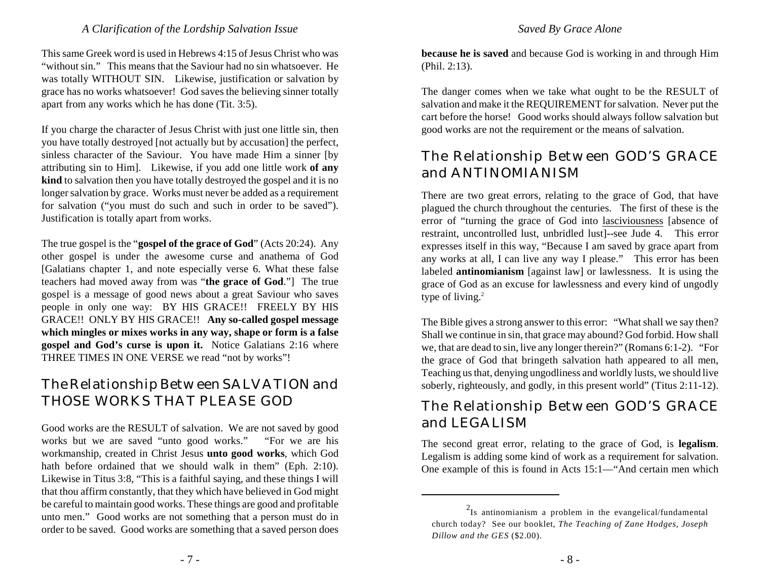This same Greek word is used in Hebrews 4:15 of Jesus Christ who was "without sin." This means that the Saviour had no sin whatsoever. He was totally WITHOUT SIN. Likewise, justification or salvation by grace has no works whatsoever! God saves the believing sinner totally apart from any works which he has done (Tit. 3:5).

If you charge the character of Jesus Christ with just one little sin, then you have totally destroyed [not actually but by accusation] the perfect, sinless character of the Saviour. You have made Him a sinner [by attributing sin to Him]. Likewise, if you add one little work **of any kind** to salvation then you have totally destroyed the gospel and it is no longer salvation by grace. Works must never be added as a requirement for salvation ("you must do such and such in order to be saved"). Justification is totally apart from works.

The true gospel is the "**gospel of the grace of God**" (Acts 20:24). Any other gospel is under the awesome curse and anathema of God [Galatians chapter 1, and note especially verse 6. What these false teachers had moved away from was "**the grace of God**."] The true gospel is a message of good news about a great Saviour who saves people in only one way: BY HIS GRACE!! FREELY BY HIS GRACE!! ONLY BY HIS GRACE!! **Any so-called gospel message which mingles or mixes works in any way, shape or form is a false gospel and God's curse is upon it.** Notice Galatians 2:16 where THREE TIMES IN ONE VERSE we read "not by works"!

# The Relationship Between SALVATION and THOSE WORKS THAT PLEASE GOD

Good works are the RESULT of salvation. We are not saved by good works but we are saved "unto good works." "For we are his workmanship, created in Christ Jesus **unto good works**, which God hath before ordained that we should walk in them" (Eph. 2:10). Likewise in Titus 3:8, "This is a faithful saying, and these things I will that thou affirm constantly, that they which have believed in God might be careful to maintain good works. These things are good and profitable unto men." Good works are not something that a person must do in order to be saved. Good works are something that a saved person does

**because he is saved** and because God is working in and through Him (Phil. 2:13).

The danger comes when we take what ought to be the RESULT of salvation and make it the REQUIREMENT for salvation. Never put the cart before the horse! Good works should always follow salvation but good works are not the requirement or the means of salvation.

# The Relationship Between GOD'S GRACE and ANTINOMIANISM

There are two great errors, relating to the grace of God, that have plagued the church throughout the centuries. The first of these is the error of "turning the grace of God into lasciviousness [absence of restraint, uncontrolled lust, unbridled lust]--see Jude 4. This error expresses itself in this way, "Because I am saved by grace apart from any works at all, I can live any way I please." This error has been labeled **antinomianism** [against law] or lawlessness. It is using the grace of God as an excuse for lawlessness and every kind of ungodly type of living.<sup>2</sup>

The Bible gives a strong answer to this error: "What shall we say then? Shall we continue in sin, that grace may abound? God forbid. How shall we, that are dead to sin, live any longer therein?" (Romans 6:1-2). "For the grace of God that bringeth salvation hath appeared to all men, Teaching us that, denying ungodliness and worldly lusts, we should live soberly, righteously, and godly, in this present world" (Titus 2:11-12).

# The Relationship Between GOD'S GRACE and LEGALISM

The second great error, relating to the grace of God, is **legalism**. Legalism is adding some kind of work as a requirement for salvation. One example of this is found in Acts 15:1—"And certain men which

 $2$ Is antinomianism a problem in the evangelical/fundamental church today? See our booklet, *The Teaching of Zane Hodges, Joseph Dillow and the GES* (\$2.00).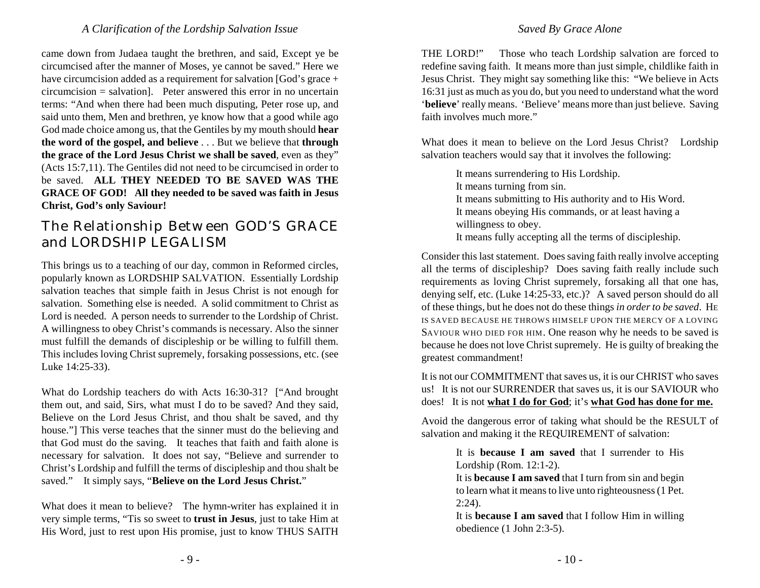came down from Judaea taught the brethren, and said, Except ye be circumcised after the manner of Moses, ye cannot be saved." Here we have circumcision added as a requirement for salvation [God's grace + circumcision = salvation]. Peter answered this error in no uncertain terms: "And when there had been much disputing, Peter rose up, and said unto them, Men and brethren, ye know how that a good while ago God made choice among us, that the Gentiles by my mouth should **hear the word of the gospel, and believe** . . . But we believe that **through the grace of the Lord Jesus Christ we shall be saved**, even as they" (Acts 15:7,11). The Gentiles did not need to be circumcised in order to be saved. **ALL THEY NEEDED TO BE SAVED WAS THE GRACE OF GOD! All they needed to be saved was faith in Jesus Christ, God's only Saviour!**

# The Relationship Between GOD'S GRACE and LORDSHIP LEGALISM

This brings us to a teaching of our day, common in Reformed circles, popularly known as LORDSHIP SALVATION. Essentially Lordship salvation teaches that simple faith in Jesus Christ is not enough for salvation. Something else is needed. A solid commitment to Christ as Lord is needed. A person needs to surrender to the Lordship of Christ. A willingness to obey Christ's commands is necessary. Also the sinner must fulfill the demands of discipleship or be willing to fulfill them. This includes loving Christ supremely, forsaking possessions, etc. (see Luke 14:25-33).

What do Lordship teachers do with Acts 16:30-31? ["And brought them out, and said, Sirs, what must I do to be saved? And they said, Believe on the Lord Jesus Christ, and thou shalt be saved, and thy house."] This verse teaches that the sinner must do the believing and that God must do the saving. It teaches that faith and faith alone is necessary for salvation. It does not say, "Believe and surrender to Christ's Lordship and fulfill the terms of discipleship and thou shalt be saved." It simply says, "**Believe on the Lord Jesus Christ.**"

What does it mean to believe? The hymn-writer has explained it in very simple terms, "Tis so sweet to **trust in Jesus**, just to take Him at His Word, just to rest upon His promise, just to know THUS SAITH

#### *Saved By Grace Alone*

THE LORD!" Those who teach Lordship salvation are forced to redefine saving faith. It means more than just simple, childlike faith in Jesus Christ. They might say something like this: "We believe in Acts 16:31 just as much as you do, but you need to understand what the word '**believe**' really means. 'Believe' means more than just believe. Saving faith involves much more."

What does it mean to believe on the Lord Jesus Christ? Lordship salvation teachers would say that it involves the following:

> It means surrendering to His Lordship. It means turning from sin. It means submitting to His authority and to His Word. It means obeying His commands, or at least having a willingness to obey. It means fully accepting all the terms of discipleship.

Consider this last statement. Does saving faith really involve accepting all the terms of discipleship? Does saving faith really include such requirements as loving Christ supremely, forsaking all that one has, denying self, etc. (Luke 14:25-33, etc.)? A saved person should do all of these things, but he does not do these things *in order to be saved*. HE IS SAVED BECAUSE HE THROWS HIMSELF UPON THE MERCY OF A LOVING SAVIOUR WHO DIED FOR HIM. One reason why he needs to be saved is because he does not love Christ supremely. He is guilty of breaking the greatest commandment!

It is not our COMMITMENT that saves us, it is our CHRIST who saves us! It is not our SURRENDER that saves us, it is our SAVIOUR who does! It is not **what I do for God**; it's **what God has done for me.**

Avoid the dangerous error of taking what should be the RESULT of salvation and making it the REQUIREMENT of salvation:

> It is **because I am saved** that I surrender to His Lordship (Rom. 12:1-2).

> It is **because I am saved** that I turn from sin and begin to learn what it means to live unto righteousness (1 Pet.  $2:24$ ).

> It is **because I am saved** that I follow Him in willing obedience (1 John 2:3-5).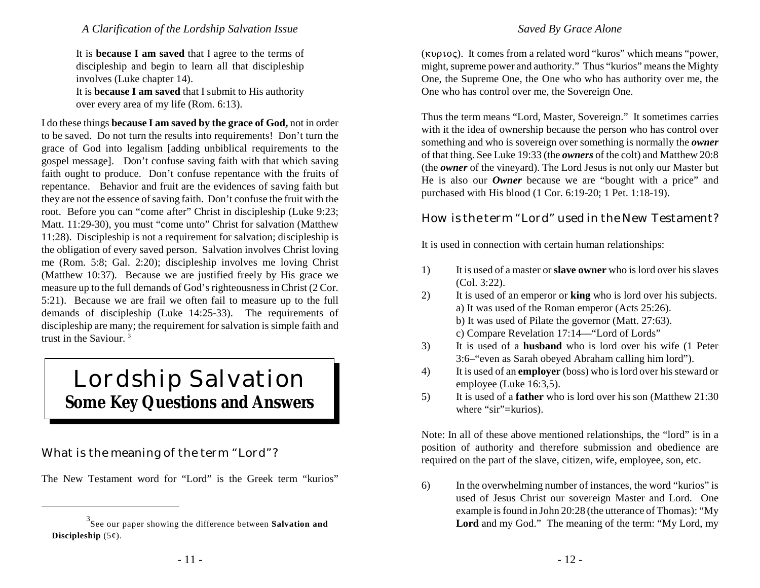It is **because I am saved** that I agree to the terms of discipleship and begin to learn all that discipleship involves (Luke chapter 14).

It is **because I am saved** that I submit to His authority over every area of my life (Rom. 6:13).

I do these things **because I am saved by the grace of God,** not in order to be saved. Do not turn the results into requirements! Don't turn the grace of God into legalism [adding unbiblical requirements to the gospel message]. Don't confuse saving faith with that which saving faith ought to produce. Don't confuse repentance with the fruits of repentance. Behavior and fruit are the evidences of saving faith but they are not the essence of saving faith. Don't confuse the fruit with the root. Before you can "come after" Christ in discipleship (Luke 9:23; Matt. 11:29-30), you must "come unto" Christ for salvation (Matthew 11:28). Discipleship is not a requirement for salvation; discipleship is the obligation of every saved person. Salvation involves Christ loving me (Rom. 5:8; Gal. 2:20); discipleship involves me loving Christ (Matthew 10:37). Because we are justified freely by His grace we measure up to the full demands of God's righteousness in Christ (2 Cor. 5:21). Because we are frail we often fail to measure up to the full demands of discipleship (Luke 14:25-33). The requirements of discipleship are many; the requirement for salvation is simple faith and trust in the Saviour. <sup>3</sup>

# Lordship Salvation **Some Key Questions and Answers**

What is the meaning of the term "Lord"?

The New Testament word for "Lord" is the Greek term "kurios"

 $(\kappa \nu \rho \nu o \varsigma)$ . It comes from a related word "kuros" which means "power, might, supreme power and authority." Thus "kurios" means the Mighty One, the Supreme One, the One who who has authority over me, the One who has control over me, the Sovereign One.

Thus the term means "Lord, Master, Sovereign." It sometimes carries with it the idea of ownership because the person who has control over something and who is sovereign over something is normally the *owner* of that thing. See Luke 19:33 (the *owners* of the colt) and Matthew 20:8 (the *owner* of the vineyard). The Lord Jesus is not only our Master but He is also our *Owner* because we are "bought with a price" and purchased with His blood (1 Cor. 6:19-20; 1 Pet. 1:18-19).

#### How is the term "Lord" used in the New Testament?

It is used in connection with certain human relationships:

- 1) It is used of a master or **slave owner** who is lord over his slaves (Col. 3:22).
- 2) It is used of an emperor or **king** who is lord over his subjects. a) It was used of the Roman emperor (Acts 25:26).
	- b) It was used of Pilate the governor (Matt. 27:63).
	- c) Compare Revelation 17:14—"Lord of Lords"
- 3) It is used of a **husband** who is lord over his wife (1 Peter 3:6–"even as Sarah obeyed Abraham calling him lord").
- 4) It is used of an **employer** (boss) who is lord over his steward or employee (Luke 16:3,5).
- 5) It is used of a **father** who is lord over his son (Matthew 21:30 where "sir"=kurios).

Note: In all of these above mentioned relationships, the "lord" is in a position of authority and therefore submission and obedience are required on the part of the slave, citizen, wife, employee, son, etc.

6) In the overwhelming number of instances, the word "kurios" is used of Jesus Christ our sovereign Master and Lord. One example is found in John 20:28 (the utterance of Thomas): "My Lord and my God." The meaning of the term: "My Lord, my

See our paper showing the difference between **Salvation and** <sup>3</sup> **Discipleship** (5¢).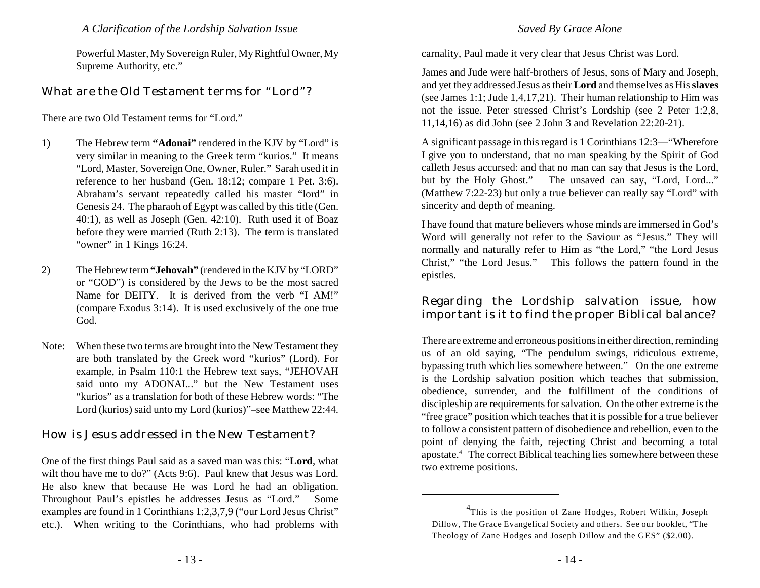Powerful Master, My Sovereign Ruler, My Rightful Owner, My Supreme Authority, etc."

#### What are the Old Testament terms for "Lord"?

There are two Old Testament terms for "Lord."

- 1) The Hebrew term **"Adonai"** rendered in the KJV by "Lord" is very similar in meaning to the Greek term "kurios." It means "Lord, Master, Sovereign One, Owner, Ruler." Sarah used it in reference to her husband (Gen. 18:12; compare 1 Pet. 3:6). Abraham's servant repeatedly called his master "lord" in Genesis 24. The pharaoh of Egypt was called by this title (Gen. 40:1), as well as Joseph (Gen. 42:10). Ruth used it of Boaz before they were married (Ruth 2:13). The term is translated "owner" in 1 Kings 16:24.
- 2) The Hebrew term **"Jehovah"** (rendered in the KJV by "LORD" or "GOD") is considered by the Jews to be the most sacred Name for DEITY. It is derived from the verb "I AM!" (compare Exodus 3:14). It is used exclusively of the one true God.
- Note: When these two terms are brought into the New Testament they are both translated by the Greek word "kurios" (Lord). For example, in Psalm 110:1 the Hebrew text says, "JEHOVAH said unto my ADONAI..." but the New Testament uses "kurios" as a translation for both of these Hebrew words: "The Lord (kurios) said unto my Lord (kurios)"–see Matthew 22:44.

#### How is Jesus addressed in the New Testament?

One of the first things Paul said as a saved man was this: "**Lord**, what wilt thou have me to do?" (Acts 9:6). Paul knew that Jesus was Lord. He also knew that because He was Lord he had an obligation. Throughout Paul's epistles he addresses Jesus as "Lord." Some examples are found in 1 Corinthians 1:2,3,7,9 ("our Lord Jesus Christ" etc.). When writing to the Corinthians, who had problems with

#### *Saved By Grace Alone*

carnality, Paul made it very clear that Jesus Christ was Lord.

James and Jude were half-brothers of Jesus, sons of Mary and Joseph, and yet they addressed Jesus as their **Lord** and themselves as His **slaves** (see James 1:1; Jude 1,4,17,21). Their human relationship to Him was not the issue. Peter stressed Christ's Lordship (see 2 Peter 1:2,8, 11,14,16) as did John (see 2 John 3 and Revelation 22:20-21).

A significant passage in this regard is 1 Corinthians 12:3—"Wherefore I give you to understand, that no man speaking by the Spirit of God calleth Jesus accursed: and that no man can say that Jesus is the Lord, but by the Holy Ghost." The unsaved can say, "Lord, Lord..." (Matthew 7:22-23) but only a true believer can really say "Lord" with sincerity and depth of meaning.

I have found that mature believers whose minds are immersed in God's Word will generally not refer to the Saviour as "Jesus." They will normally and naturally refer to Him as "the Lord," "the Lord Jesus Christ," "the Lord Jesus." This follows the pattern found in the epistles.

Regarding the Lordship salvation issue, how important is it to find the proper Biblical balance?

There are extreme and erroneous positions in either direction, reminding us of an old saying, "The pendulum swings, ridiculous extreme, bypassing truth which lies somewhere between." On the one extreme is the Lordship salvation position which teaches that submission, obedience, surrender, and the fulfillment of the conditions of discipleship are requirements for salvation. On the other extreme is the "free grace" position which teaches that it is possible for a true believer to follow a consistent pattern of disobedience and rebellion, even to the point of denying the faith, rejecting Christ and becoming a total apostate.<sup>4</sup> The correct Biblical teaching lies somewhere between these two extreme positions.

<sup>&</sup>lt;sup>4</sup>This is the position of Zane Hodges, Robert Wilkin, Joseph Dillow, The Grace Evangelical Society and others. See our booklet, "The Theology of Zane Hodges and Joseph Dillow and the GES" (\$2.00).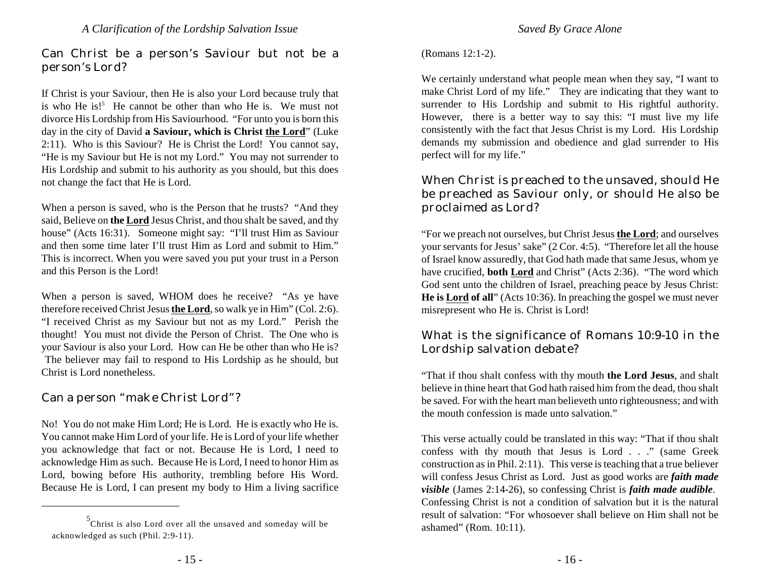Can Christ be a person's Saviour but not be a person's Lord?

If Christ is your Saviour, then He is also your Lord because truly that is who He is!<sup>5</sup> He cannot be other than who He is. We must not divorce His Lordship from His Saviourhood. "For unto you is born this day in the city of David **a Saviour, which is Christ the Lord**" (Luke 2:11). Who is this Saviour? He is Christ the Lord! You cannot say, "He is my Saviour but He is not my Lord." You may not surrender to His Lordship and submit to his authority as you should, but this does not change the fact that He is Lord.

When a person is saved, who is the Person that he trusts? "And they said, Believe on **the Lord** Jesus Christ, and thou shalt be saved, and thy house" (Acts 16:31). Someone might say: "I'll trust Him as Saviour and then some time later I'll trust Him as Lord and submit to Him." This is incorrect. When you were saved you put your trust in a Person and this Person is the Lord!

When a person is saved, WHOM does he receive? "As ye have therefore received Christ Jesus **the Lord**, so walk ye in Him" (Col. 2:6). "I received Christ as my Saviour but not as my Lord." Perish the thought! You must not divide the Person of Christ. The One who is your Saviour is also your Lord. How can He be other than who He is? The believer may fail to respond to His Lordship as he should, but Christ is Lord nonetheless.

Can a person "make Christ Lord"?

No! You do not make Him Lord; He is Lord. He is exactly who He is. You cannot make Him Lord of your life. He is Lord of your life whether you acknowledge that fact or not. Because He is Lord, I need to acknowledge Him as such. Because He is Lord, I need to honor Him as Lord, bowing before His authority, trembling before His Word. Because He is Lord, I can present my body to Him a living sacrifice

#### (Romans 12:1-2).

We certainly understand what people mean when they say, "I want to make Christ Lord of my life." They are indicating that they want to surrender to His Lordship and submit to His rightful authority. However, there is a better way to say this: "I must live my life consistently with the fact that Jesus Christ is my Lord. His Lordship demands my submission and obedience and glad surrender to His perfect will for my life."

When Christ is preached to the unsaved, should He be preached as Saviour only, or should He also be proclaimed as Lord?

"For we preach not ourselves, but Christ Jesus **the Lord**; and ourselves your servants for Jesus' sake" (2 Cor. 4:5). "Therefore let all the house of Israel know assuredly, that God hath made that same Jesus, whom ye have crucified, **both Lord** and Christ" (Acts 2:36). "The word which God sent unto the children of Israel, preaching peace by Jesus Christ: **He is Lord of all**" (Acts 10:36). In preaching the gospel we must never misrepresent who He is. Christ is Lord!

#### What is the significance of Romans 10:9-10 in the Lordship salvation debate?

"That if thou shalt confess with thy mouth **the Lord Jesus**, and shalt believe in thine heart that God hath raised him from the dead, thou shalt be saved. For with the heart man believeth unto righteousness; and with the mouth confession is made unto salvation."

This verse actually could be translated in this way: "That if thou shalt confess with thy mouth that Jesus is Lord . . ." (same Greek construction as in Phil. 2:11). This verse is teaching that a true believer will confess Jesus Christ as Lord. Just as good works are *faith made visible* (James 2:14-26), so confessing Christ is *faith made audible*. Confessing Christ is not a condition of salvation but it is the natural result of salvation: "For whosoever shall believe on Him shall not be ashamed" (Rom. 10:11).

 $5$ Christ is also Lord over all the unsaved and someday will be acknowledged as such (Phil. 2:9-11).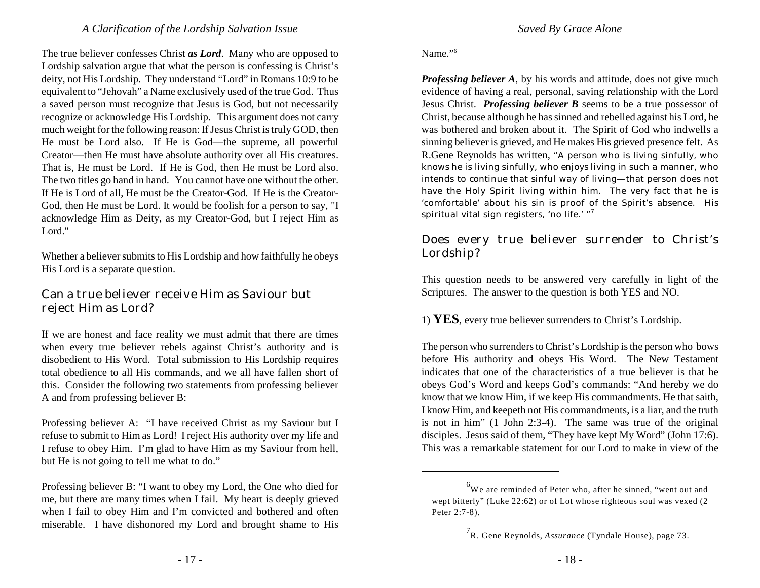The true believer confesses Christ *as Lord*. Many who are opposed to Lordship salvation argue that what the person is confessing is Christ's deity, not His Lordship. They understand "Lord" in Romans 10:9 to be equivalent to "Jehovah" a Name exclusively used of the true God. Thus a saved person must recognize that Jesus is God, but not necessarily recognize or acknowledge His Lordship. This argument does not carry much weight for the following reason: If Jesus Christ is truly GOD, then He must be Lord also. If He is God—the supreme, all powerful Creator—then He must have absolute authority over all His creatures. That is, He must be Lord. If He is God, then He must be Lord also. The two titles go hand in hand. You cannot have one without the other. If He is Lord of all, He must be the Creator-God. If He is the Creator-God, then He must be Lord. It would be foolish for a person to say, "I acknowledge Him as Deity, as my Creator-God, but I reject Him as Lord."

Whether a believer submits to His Lordship and how faithfully he obeys His Lord is a separate question.

#### Can a true believer receive Him as Saviour but reject Him as Lord?

If we are honest and face reality we must admit that there are times when every true believer rebels against Christ's authority and is disobedient to His Word. Total submission to His Lordship requires total obedience to all His commands, and we all have fallen short of this. Consider the following two statements from professing believer A and from professing believer B:

Professing believer A: "I have received Christ as my Saviour but I refuse to submit to Him as Lord! I reject His authority over my life and I refuse to obey Him. I'm glad to have Him as my Saviour from hell, but He is not going to tell me what to do."

Professing believer B: "I want to obey my Lord, the One who died for me, but there are many times when I fail. My heart is deeply grieved when I fail to obey Him and I'm convicted and bothered and often miserable. I have dishonored my Lord and brought shame to His

#### Name."<sup>6</sup>

*Professing believer A*, by his words and attitude, does not give much evidence of having a real, personal, saving relationship with the Lord Jesus Christ. *Professing believer B* seems to be a true possessor of Christ, because although he has sinned and rebelled against his Lord, he was bothered and broken about it. The Spirit of God who indwells a sinning believer is grieved, and He makes His grieved presence felt. As R.Gene Reynolds has written, "A person who is living sinfully, who *knows* he is living sinfully, who *enjoys* living in such a manner, who intends to *continue* that sinful way of living—that person does not have the Holy Spirit living within him. The very fact that he is 'comfortable' about his sin is proof of the Spirit's absence. His spiritual vital sign registers, 'no life.'  $"$ <sup>7</sup>

#### Does every true believer surrender to Christ's Lordship?

This question needs to be answered very carefully in light of the Scriptures. The answer to the question is both YES and NO.

1) **YES**, every true believer surrenders to Christ's Lordship.

The person who surrenders to Christ's Lordship is the person who bows before His authority and obeys His Word. The New Testament indicates that one of the characteristics of a true believer is that he obeys God's Word and keeps God's commands: "And hereby we do know that we know Him, if we keep His commandments. He that saith, I know Him, and keepeth not His commandments, is a liar, and the truth is not in him" (1 John 2:3-4). The same was true of the original disciples. Jesus said of them, "They have kept My Word" (John 17:6). This was a remarkable statement for our Lord to make in view of the

 $6$ We are reminded of Peter who, after he sinned, "went out and wept bitterly" (Luke 22:62) or of Lot whose righteous soul was vexed (2 Peter 2:7-8).

<sup>&</sup>lt;sup>7</sup>R. Gene Reynolds, *Assurance* (Tyndale House), page 73.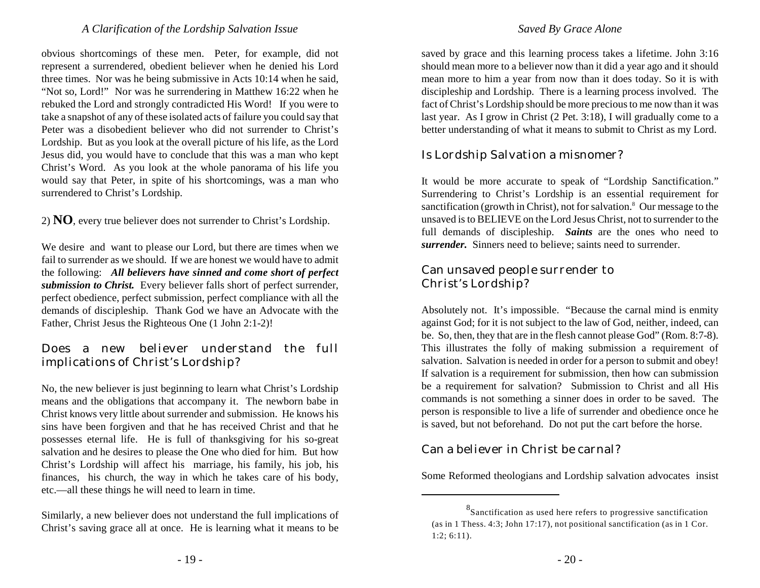obvious shortcomings of these men. Peter, for example, did not represent a surrendered, obedient believer when he denied his Lord three times. Nor was he being submissive in Acts 10:14 when he said, "Not so, Lord!" Nor was he surrendering in Matthew 16:22 when he rebuked the Lord and strongly contradicted His Word! If you were to take a snapshot of any of these isolated acts of failure you could say that Peter was a disobedient believer who did not surrender to Christ's Lordship. But as you look at the overall picture of his life, as the Lord Jesus did, you would have to conclude that this was a man who kept Christ's Word. As you look at the whole panorama of his life you would say that Peter, in spite of his shortcomings, was a man who surrendered to Christ's Lordship.

2) **NO**, every true believer does not surrender to Christ's Lordship.

We desire and want to please our Lord, but there are times when we fail to surrender as we should. If we are honest we would have to admit the following: *All believers have sinned and come short of perfect submission to Christ.* Every believer falls short of perfect surrender, perfect obedience, perfect submission, perfect compliance with all the demands of discipleship. Thank God we have an Advocate with the Father, Christ Jesus the Righteous One (1 John 2:1-2)!

#### Does a new believer understand the full implications of Christ's Lordship?

No, the new believer is just beginning to learn what Christ's Lordship means and the obligations that accompany it. The newborn babe in Christ knows very little about surrender and submission. He knows his sins have been forgiven and that he has received Christ and that he possesses eternal life. He is full of thanksgiving for his so-great salvation and he desires to please the One who died for him. But how Christ's Lordship will affect his marriage, his family, his job, his finances, his church, the way in which he takes care of his body, etc.—all these things he will need to learn in time.

Similarly, a new believer does not understand the full implications of Christ's saving grace all at once. He is learning what it means to be saved by grace and this learning process takes a lifetime. John 3:16 should mean more to a believer now than it did a year ago and it should mean more to him a year from now than it does today. So it is with discipleship and Lordship. There is a learning process involved. The fact of Christ's Lordship should be more precious to me now than it was last year. As I grow in Christ (2 Pet. 3:18), I will gradually come to a better understanding of what it means to submit to Christ as my Lord.

#### Is Lordship Salvation a misnomer?

It would be more accurate to speak of "Lordship Sanctification." Surrendering to Christ's Lordship is an essential requirement for sanctification (growth in Christ), not for salvation. $8$  Our message to the unsaved is to BELIEVE on the Lord Jesus Christ, not to surrender to the full demands of discipleship. *Saints* are the ones who need to *surrender.* Sinners need to believe; saints need to surrender.

#### Can unsaved people surrender to Christ's Lordship?

Absolutely not. It's impossible. "Because the carnal mind is enmity against God; for it is not subject to the law of God, neither, indeed, can be. So, then, they that are in the flesh cannot please God" (Rom. 8:7-8). This illustrates the folly of making submission a requirement of salvation. Salvation is needed in order for a person to submit and obey! If salvation is a requirement for submission, then how can submission be a requirement for salvation? Submission to Christ and all His commands is not something a sinner does in order to be saved. The person is responsible to live a life of surrender and obedience once he is saved, but not beforehand. Do not put the cart before the horse.

#### Can a believer in Christ be carnal?

Some Reformed theologians and Lordship salvation advocates insist

 $^8$ Sanctification as used here refers to progressive sanctification (as in 1 Thess. 4:3; John 17:17), not positional sanctification (as in 1 Cor. 1:2; 6:11).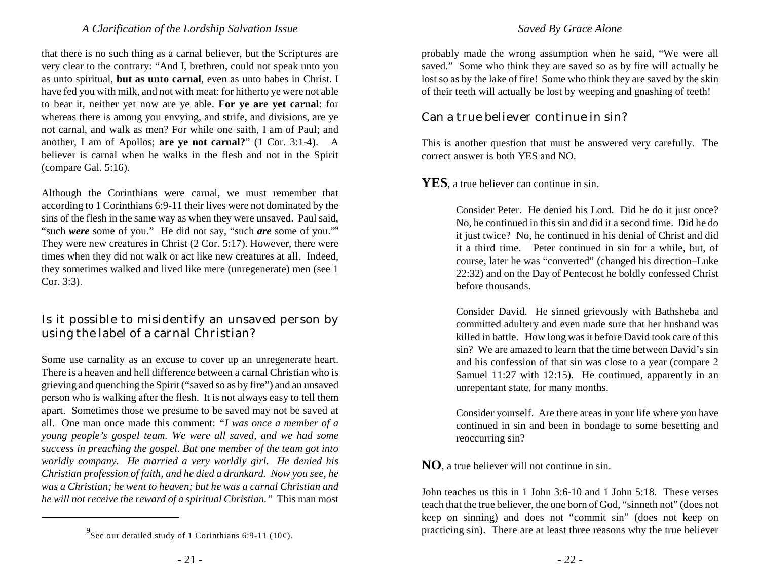that there is no such thing as a carnal believer, but the Scriptures are very clear to the contrary: "And I, brethren, could not speak unto you as unto spiritual, **but as unto carnal**, even as unto babes in Christ. I have fed you with milk, and not with meat: for hitherto ye were not able to bear it, neither yet now are ye able. **For ye are yet carnal**: for whereas there is among you envying, and strife, and divisions, are ye not carnal, and walk as men? For while one saith, I am of Paul; and another, I am of Apollos; **are ye not carnal?**" (1 Cor. 3:1-4). A believer is carnal when he walks in the flesh and not in the Spirit (compare Gal. 5:16).

Although the Corinthians were carnal, we must remember that according to 1 Corinthians 6:9-11 their lives were not dominated by the sins of the flesh in the same way as when they were unsaved. Paul said, "such *were* some of you." He did not say, "such *are* some of you." 9 They were new creatures in Christ (2 Cor. 5:17). However, there were times when they did not walk or act like new creatures at all. Indeed, they sometimes walked and lived like mere (unregenerate) men (see 1 Cor. 3:3).

#### Is it possible to misidentify an unsaved person by using the label of a carnal Christian?

Some use carnality as an excuse to cover up an unregenerate heart. There is a heaven and hell difference between a carnal Christian who is grieving and quenching the Spirit ("saved so as by fire") and an unsaved person who is walking after the flesh. It is not always easy to tell them apart. Sometimes those we presume to be saved may not be saved at all. One man once made this comment: *"I was once a member of a young people's gospel team. We were all saved, and we had some success in preaching the gospel. But one member of the team got into worldly company. He married a very worldly girl. He denied his Christian profession of faith, and he died a drunkard. Now you see, he was a Christian; he went to heaven; but he was a carnal Christian and he will not receive the reward of a spiritual Christian."* This man most

#### *Saved By Grace Alone*

probably made the wrong assumption when he said, "We were all saved." Some who think they are saved so as by fire will actually be lost so as by the lake of fire! Some who think they are saved by the skin of their teeth will actually be lost by weeping and gnashing of teeth!

#### Can a true believer continue in sin?

This is another question that must be answered very carefully. The correct answer is both YES and NO.

#### **YES**, a true believer can continue in sin.

Consider Peter. He denied his Lord. Did he do it just once? No, he continued in this sin and did it a second time. Did he do it just twice? No, he continued in his denial of Christ and did it a third time. Peter continued in sin for a while, but, of course, later he was "converted" (changed his direction–Luke 22:32) and on the Day of Pentecost he boldly confessed Christ before thousands.

Consider David. He sinned grievously with Bathsheba and committed adultery and even made sure that her husband was killed in battle. How long was it before David took care of this sin? We are amazed to learn that the time between David's sin and his confession of that sin was close to a year (compare 2 Samuel 11:27 with 12:15). He continued, apparently in an unrepentant state, for many months.

Consider yourself. Are there areas in your life where you have continued in sin and been in bondage to some besetting and reoccurring sin?

**NO**, a true believer will not continue in sin.

John teaches us this in 1 John 3:6-10 and 1 John 5:18. These verses teach that the true believer, the one born of God, "sinneth not" (does not keep on sinning) and does not "commit sin" (does not keep on practicing sin). There are at least three reasons why the true believer

<sup>&</sup>lt;sup>9</sup> See our detailed study of 1 Corinthians 6:9-11 (10¢).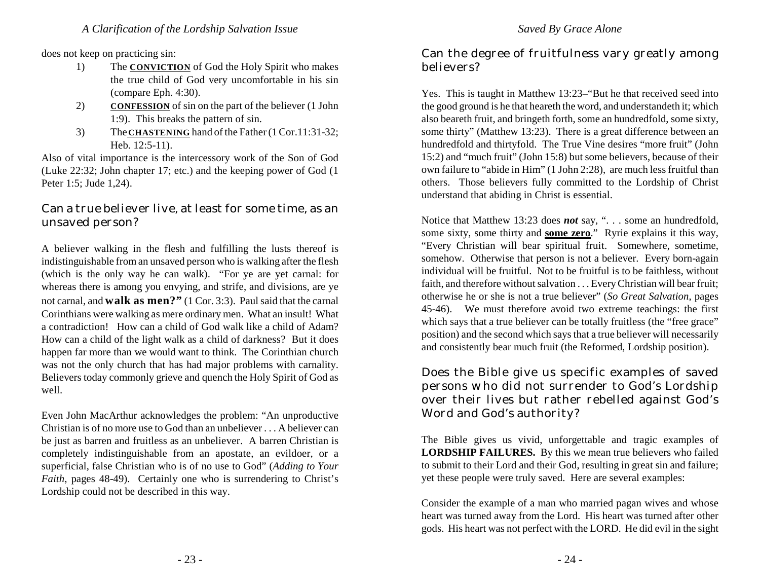does not keep on practicing sin:

- 1) The **CONVICTION** of God the Holy Spirit who makes the true child of God very uncomfortable in his sin (compare Eph. 4:30).
- 2) **CONFESSION** of sin on the part of the believer (1 John 1:9). This breaks the pattern of sin.
- 3) The **CHASTENING** hand of the Father (1 Cor.11:31-32; Heb. 12:5-11).

Also of vital importance is the intercessory work of the Son of God (Luke 22:32; John chapter 17; etc.) and the keeping power of God (1 Peter 1:5; Jude 1,24).

#### Can a true believer live, at least for some time, as an unsaved person?

A believer walking in the flesh and fulfilling the lusts thereof is indistinguishable from an unsaved person who is walking after the flesh (which is the only way he can walk). "For ye are yet carnal: for whereas there is among you envying, and strife, and divisions, are ye not carnal, and **walk as men?"** (1 Cor. 3:3). Paul said that the carnal Corinthians were walking as mere ordinary men. What an insult! What a contradiction! How can a child of God walk like a child of Adam? How can a child of the light walk as a child of darkness? But it does happen far more than we would want to think. The Corinthian church was not the only church that has had major problems with carnality. Believers today commonly grieve and quench the Holy Spirit of God as well.

Even John MacArthur acknowledges the problem: "An unproductive Christian is of no more use to God than an unbeliever . . . A believer can be just as barren and fruitless as an unbeliever. A barren Christian is completely indistinguishable from an apostate, an evildoer, or a superficial, false Christian who is of no use to God" (*Adding to Your Faith*, pages 48-49). Certainly one who is surrendering to Christ's Lordship could not be described in this way.

#### Can the degree of fruitfulness vary greatly among believers?

Yes. This is taught in Matthew 13:23–"But he that received seed into the good ground is he that heareth the word, and understandeth it; which also beareth fruit, and bringeth forth, some an hundredfold, some sixty, some thirty" (Matthew 13:23). There is a great difference between an hundredfold and thirtyfold. The True Vine desires "more fruit" (John 15:2) and "much fruit" (John 15:8) but some believers, because of their own failure to "abide in Him" (1 John 2:28), are much less fruitful than others. Those believers fully committed to the Lordship of Christ understand that abiding in Christ is essential.

Notice that Matthew 13:23 does *not* say, ". . . some an hundredfold, some sixty, some thirty and **some zero**." Ryrie explains it this way, "Every Christian will bear spiritual fruit. Somewhere, sometime, somehow. Otherwise that person is not a believer. Every born-again individual will be fruitful. Not to be fruitful is to be faithless, without faith, and therefore without salvation . . . Every Christian will bear fruit; otherwise he or she is not a true believer" (*So Great Salvation*, pages 45-46). We must therefore avoid two extreme teachings: the first which says that a true believer can be totally fruitless (the "free grace" position) and the second which says that a true believer will necessarily and consistently bear much fruit (the Reformed, Lordship position).

Does the Bible give us specific examples of saved persons who did not surrender to God's Lordship over their lives but rather rebelled against God's Word and God's authority?

The Bible gives us vivid, unforgettable and tragic examples of **LORDSHIP FAILURES.** By this we mean true believers who failed to submit to their Lord and their God, resulting in great sin and failure; yet these people were truly saved. Here are several examples:

Consider the example of a man who married pagan wives and whose heart was turned away from the Lord. His heart was turned after other gods. His heart was not perfect with the LORD. He did evil in the sight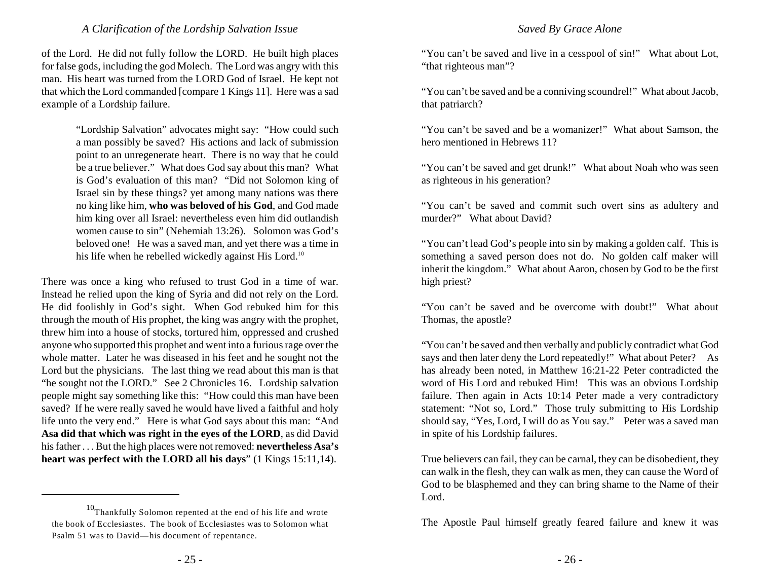of the Lord. He did not fully follow the LORD. He built high places for false gods, including the god Molech. The Lord was angry with this man. His heart was turned from the LORD God of Israel. He kept not that which the Lord commanded [compare 1 Kings 11]. Here was a sad example of a Lordship failure.

> "Lordship Salvation" advocates might say: "How could such a man possibly be saved? His actions and lack of submission point to an unregenerate heart. There is no way that he could be a true believer." What does God say about this man? What is God's evaluation of this man? "Did not Solomon king of Israel sin by these things? yet among many nations was there no king like him, **who was beloved of his God**, and God made him king over all Israel: nevertheless even him did outlandish women cause to sin" (Nehemiah 13:26). Solomon was God's beloved one! He was a saved man, and yet there was a time in his life when he rebelled wickedly against His Lord.<sup>10</sup>

There was once a king who refused to trust God in a time of war. Instead he relied upon the king of Syria and did not rely on the Lord. He did foolishly in God's sight. When God rebuked him for this through the mouth of His prophet, the king was angry with the prophet, threw him into a house of stocks, tortured him, oppressed and crushed anyone who supported this prophet and went into a furious rage over the whole matter. Later he was diseased in his feet and he sought not the Lord but the physicians. The last thing we read about this man is that "he sought not the LORD." See 2 Chronicles 16. Lordship salvation people might say something like this: "How could this man have been saved? If he were really saved he would have lived a faithful and holy life unto the very end." Here is what God says about this man: "And **Asa did that which was right in the eyes of the LORD**, as did David his father . . . But the high places were not removed: **nevertheless Asa's heart was perfect with the LORD all his days**" (1 Kings 15:11,14).

#### *Saved By Grace Alone*

"You can't be saved and live in a cesspool of sin!" What about Lot, "that righteous man"?

"You can't be saved and be a conniving scoundrel!" What about Jacob, that patriarch?

"You can't be saved and be a womanizer!" What about Samson, the hero mentioned in Hebrews 11?

"You can't be saved and get drunk!" What about Noah who was seen as righteous in his generation?

"You can't be saved and commit such overt sins as adultery and murder?" What about David?

"You can't lead God's people into sin by making a golden calf. This is something a saved person does not do. No golden calf maker will inherit the kingdom." What about Aaron, chosen by God to be the first high priest?

"You can't be saved and be overcome with doubt!" What about Thomas, the apostle?

"You can't be saved and then verbally and publicly contradict what God says and then later deny the Lord repeatedly!" What about Peter? As has already been noted, in Matthew 16:21-22 Peter contradicted the word of His Lord and rebuked Him! This was an obvious Lordship failure. Then again in Acts 10:14 Peter made a very contradictory statement: "Not so, Lord." Those truly submitting to His Lordship should say, "Yes, Lord, I will do as You say." Peter was a saved man in spite of his Lordship failures.

True believers can fail, they can be carnal, they can be disobedient, they can walk in the flesh, they can walk as men, they can cause the Word of God to be blasphemed and they can bring shame to the Name of their Lord.

The Apostle Paul himself greatly feared failure and knew it was

 $10$ Thankfully Solomon repented at the end of his life and wrote the book of Ecclesiastes. The book of Ecclesiastes was to Solomon what Psalm 51 was to David—his document of repentance.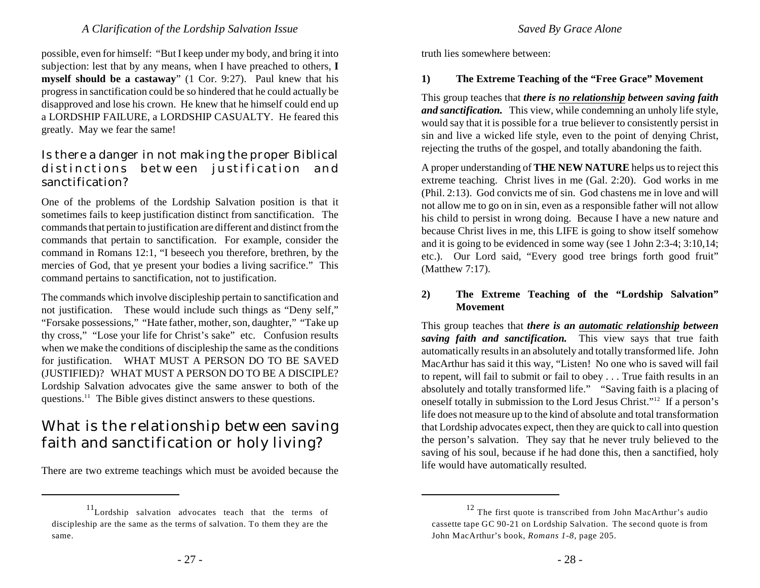possible, even for himself: "But I keep under my body, and bring it into subjection: lest that by any means, when I have preached to others, **I myself should be a castaway**" (1 Cor. 9:27). Paul knew that his progress in sanctification could be so hindered that he could actually be disapproved and lose his crown. He knew that he himself could end up a LORDSHIP FAILURE, a LORDSHIP CASUALTY. He feared this greatly. May we fear the same!

#### Is there a danger in not making the proper Biblical distinctions between justification and sanctification?

One of the problems of the Lordship Salvation position is that it sometimes fails to keep justification distinct from sanctification. The commands that pertain to justification are different and distinct from the commands that pertain to sanctification. For example, consider the command in Romans 12:1, "I beseech you therefore, brethren, by the mercies of God, that ye present your bodies a living sacrifice." This command pertains to sanctification, not to justification.

The commands which involve discipleship pertain to sanctification and not justification. These would include such things as "Deny self," "Forsake possessions," "Hate father, mother, son, daughter," "Take up thy cross," "Lose your life for Christ's sake" etc. Confusion results when we make the conditions of discipleship the same as the conditions for justification. WHAT MUST A PERSON DO TO BE SAVED (JUSTIFIED)? WHAT MUST A PERSON DO TO BE A DISCIPLE? Lordship Salvation advocates give the same answer to both of the questions.<sup>11</sup> The Bible gives distinct answers to these questions.

# What is the relationship between saving faith and sanctification or holy living?

There are two extreme teachings which must be avoided because the

*Saved By Grace Alone*

truth lies somewhere between:

#### **1) The Extreme Teaching of the "Free Grace" Movement**

This group teaches that *there is no relationship between saving faith and sanctification.* This view, while condemning an unholy life style, would say that it is possible for a true believer to consistently persist in sin and live a wicked life style, even to the point of denying Christ, rejecting the truths of the gospel, and totally abandoning the faith.

A proper understanding of **THE NEW NATURE** helps usto reject this extreme teaching. Christ lives in me (Gal. 2:20). God works in me (Phil. 2:13). God convicts me of sin. God chastens me in love and will not allow me to go on in sin, even as a responsible father will not allow his child to persist in wrong doing. Because I have a new nature and because Christ lives in me, this LIFE is going to show itself somehow and it is going to be evidenced in some way (see 1 John 2:3-4; 3:10,14; etc.). Our Lord said, "Every good tree brings forth good fruit" (Matthew 7:17).

#### **2) The Extreme Teaching of the "Lordship Salvation" Movement**

This group teaches that *there is an automatic relationship between saving faith and sanctification.* This view says that true faith automatically results in an absolutely and totally transformed life. John MacArthur has said it this way, "Listen! No one who is saved will fail to repent, will fail to submit or fail to obey . . . True faith results in an absolutely and totally transformed life." "Saving faith is a placing of oneself totally in submission to the Lord Jesus Christ."<sup>12</sup> If a person's life does not measure up to the kind of absolute and total transformation that Lordship advocates expect, then they are quick to call into question the person's salvation. They say that he never truly believed to the saving of his soul, because if he had done this, then a sanctified, holy life would have automatically resulted.

 $11$ Lordship salvation advocates teach that the terms of discipleship are the same as the terms of salvation. To them they are the same.

 $12$  The first quote is transcribed from John MacArthur's audio cassette tape GC 90-21 on Lordship Salvation. The second quote is from John MacArthur's book, *Romans 1-8*, page 205.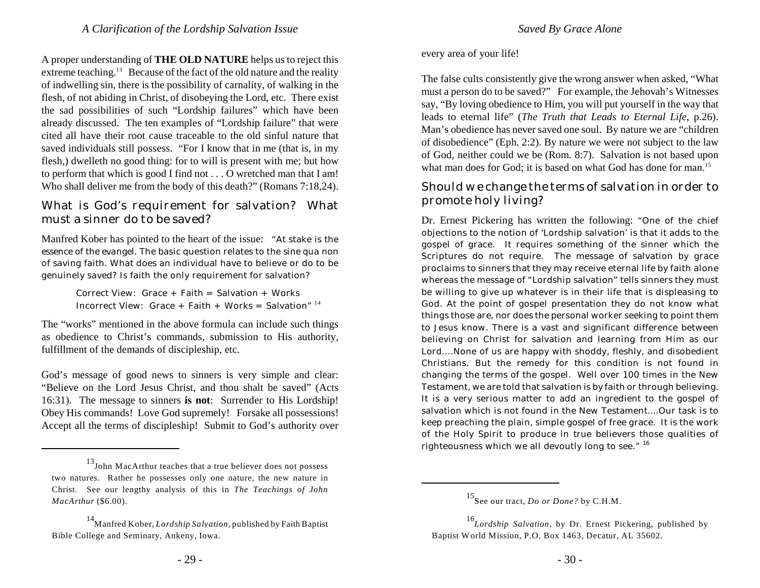A proper understanding of **THE OLD NATURE** helps us to reject this extreme teaching.<sup>13</sup> Because of the fact of the old nature and the reality of indwelling sin, there is the possibility of carnality, of walking in the flesh, of not abiding in Christ, of disobeying the Lord, etc. There exist the sad possibilities of such "Lordship failures" which have been already discussed. The ten examples of "Lordship failure" that were cited all have their root cause traceable to the old sinful nature that saved individuals still possess. "For I know that in me (that is, in my flesh,) dwelleth no good thing: for to will is present with me; but how to perform that which is good I find not . . . O wretched man that I am! Who shall deliver me from the body of this death?" (Romans 7:18,24).

#### What is God's requirement for salvation? What must a sinner do to be saved?

Manfred Kober has pointed to the heart of the issue: "At stake is the *essence of the evangel.* The basic question relates to the *sine qua non* of saving faith. What does an individual have to believe or do to be genuinely saved? Is faith the only requirement for salvation?

> Correct View: Grace + Faith = Salvation + Works Incorrect View: Grace + Faith + Works = Salvation"  $14$

The "works" mentioned in the above formula can include such things as obedience to Christ's commands, submission to His authority, fulfillment of the demands of discipleship, etc.

God's message of good news to sinners is very simple and clear: "Believe on the Lord Jesus Christ, and thou shalt be saved" (Acts 16:31). The message to sinners **is not**: Surrender to His Lordship! Obey His commands! Love God supremely! Forsake all possessions! Accept all the terms of discipleship! Submit to God's authority over every area of your life!

The false cults consistently give the wrong answer when asked, "What must a person do to be saved?" For example, the Jehovah's Witnesses say, "By loving obedience to Him, you will put yourself in the way that leads to eternal life" (*The Truth that Leads to Eternal Life*, p.26). Man's obedience has never saved one soul. By nature we are "children of disobedience" (Eph. 2:2). By nature we were not subject to the law of God, neither could we be (Rom. 8:7). Salvation is not based upon what man does for God; it is based on what God has done for man.<sup>15</sup>

#### Should we change the terms of salvation in order to promote holy living?

Dr. Ernest Pickering has written the following: "One of the chief objections to the notion of 'Lordship salvation' is that it adds to the gospel of grace. It requires something of the sinner which the Scriptures do not require. The message of salvation by grace proclaims to sinners that they may receive eternal life by faith alone whereas the message of "Lordship salvation" tells sinners they must be willing to give up whatever is in their life that is displeasing to God. At the point of gospel presentation they do not know what things those are, nor does the personal worker seeking to point them to Jesus know. There is a vast and significant difference between believing on Christ for salvation and learning from Him as our Lord....None of us are happy with shoddy, fleshly, and disobedient Christians. But the remedy for this condition is not found in changing the terms of the gospel. Well over 100 times in the New Testament, we are told that salvation is by faith or through believing. It is a very serious matter to add an ingredient to the gospel of salvation which is not found in the New Testament....Our task is to keep preaching the plain, simple gospel of free grace. It is the work of the Holy Spirit to produce in true believers those qualities of righteousness which we all devoutly long to see." <sup>16</sup>

<sup>13</sup> John MacArthur teaches that a true believer does not possess two natures. Rather he possesses only one nature, the new nature in Christ. See our lengthy analysis of this in *The Teachings of John MacArthur* (\$6.00).

Manfred Kober, *Lordship Salvation*, published by Faith Baptist 14 Bible College and Seminary, Ankeny, Iowa.

 $^{15}$ See our tract, *Do or Done?* by C.H.M.

<sup>&</sup>lt;sup>16</sup>Lordship Salvation, by Dr. Ernest Pickering, published by Baptist World Mission, P.O. Box 1463, Decatur, AL 35602.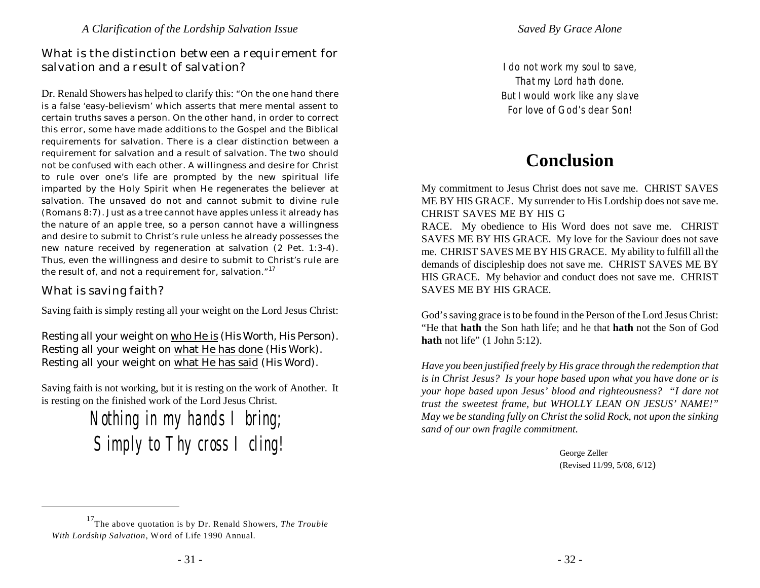#### What is the distinction between a requirement for salvation and a result of salvation?

Dr. Renald Showers has helped to clarify this: "On the one hand there is a false 'easy-believism' which asserts that mere mental assent to certain truths saves a person. On the other hand, in order to correct this error, some have made additions to the Gospel and the Biblical requirements for salvation. There is a clear distinction between a requirement for salvation and a result of salvation. The two should not be confused with each other. A willingness and desire for Christ to rule over one's life are prompted by the new spiritual life imparted by the Holy Spirit when He regenerates the believer at salvation. The unsaved do not and cannot submit to divine rule (Romans 8:7). Just as a tree cannot have apples unless it already has the nature of an apple tree, so a person cannot have a willingness and desire to submit to Christ's rule unless he already possesses the new nature received by regeneration at salvation (2 Pet. 1:3-4). Thus, even the willingness and desire to submit to Christ's rule are the result of, and not a requirement for, salvation."<sup>17</sup>

What is saving faith?

Saving faith is simply resting all your weight on the Lord Jesus Christ:

Resting all your weight on who He is (*His Worth*, His Person). Resting all your weight on what He has done (*His Work*). Resting all your weight on what He has said (*His Word*).

Saving faith is not working, but it is resting on the work of Another. It is resting on the finished work of the Lord Jesus Christ.

> *Nothing in my hands I bring; Simply to Thy cross I cling!*

*I do not work my soul to save, That my Lord hath done. But I would work like any slave For love of God's dear Son!*

# **Conclusion**

My commitment to Jesus Christ does not save me. CHRIST SAVES ME BY HIS GRACE. My surrender to His Lordship does not save me. CHRIST SAVES ME BY HIS G

RACE. My obedience to His Word does not save me. CHRIST SAVES ME BY HIS GRACE. My love for the Saviour does not save me. CHRIST SAVES ME BY HIS GRACE. My ability to fulfill all the demands of discipleship does not save me. CHRIST SAVES ME BY HIS GRACE. My behavior and conduct does not save me. CHRIST SAVES ME BY HIS GRACE.

God's saving grace is to be found in the Person of the Lord Jesus Christ: "He that **hath** the Son hath life; and he that **hath** not the Son of God **hath** not life" (1 John 5:12).

*Have you been justified freely by His grace through the redemption that is in Christ Jesus? Is your hope based upon what you have done or is your hope based upon Jesus' blood and righteousness? "I dare not trust the sweetest frame, but WHOLLY LEAN ON JESUS' NAME!" May we be standing fully on Christ the solid Rock, not upon the sinking sand of our own fragile commitment.*

> George Zeller (Revised 11/99, 5/08, 6/12)

<sup>&</sup>lt;sup>17</sup>The above quotation is by Dr. Renald Showers, *The Trouble With Lordship Salvation*, Word of Life 1990 Annual.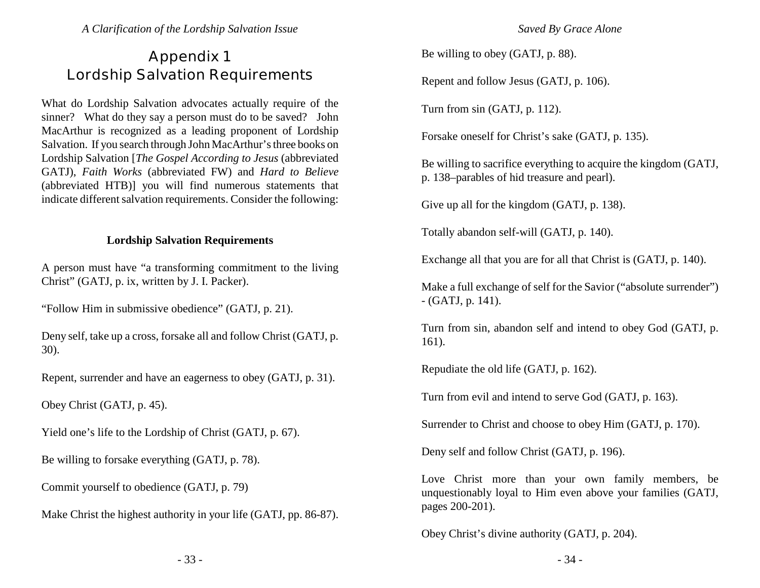# **Appendix 1 Lordship Salvation Requirements**

What do Lordship Salvation advocates actually require of the sinner? What do they say a person must do to be saved? John MacArthur is recognized as a leading proponent of Lordship Salvation. If you search through John MacArthur's three books on Lordship Salvation [*The Gospel According to Jesus* (abbreviated GATJ), *Faith Works* (abbreviated FW) and *Hard to Believe* (abbreviated HTB)] you will find numerous statements that indicate different salvation requirements. Consider the following:

#### **Lordship Salvation Requirements**

A person must have "a transforming commitment to the living Christ" (GATJ, p. ix, written by J. I. Packer).

"Follow Him in submissive obedience" (GATJ, p. 21).

Deny self, take up a cross, forsake all and follow Christ (GATJ, p. 30).

Repent, surrender and have an eagerness to obey (GATJ, p. 31).

Obey Christ (GATJ, p. 45).

Yield one's life to the Lordship of Christ (GATJ, p. 67).

Be willing to forsake everything (GATJ, p. 78).

Commit yourself to obedience (GATJ, p. 79)

Make Christ the highest authority in your life (GATJ, pp. 86-87).

*Saved By Grace Alone*

Be willing to obey (GATJ, p. 88).

Repent and follow Jesus (GATJ, p. 106).

Turn from sin (GATJ, p. 112).

Forsake oneself for Christ's sake (GATJ, p. 135).

Be willing to sacrifice everything to acquire the kingdom (GATJ, p. 138–parables of hid treasure and pearl).

Give up all for the kingdom (GATJ, p. 138).

Totally abandon self-will (GATJ, p. 140).

Exchange all that you are for all that Christ is (GATJ, p. 140).

Make a full exchange of self for the Savior ("absolute surrender") - (GATJ, p. 141).

Turn from sin, abandon self and intend to obey God (GATJ, p. 161).

Repudiate the old life (GATJ, p. 162).

Turn from evil and intend to serve God (GATJ, p. 163).

Surrender to Christ and choose to obey Him (GATJ, p. 170).

Deny self and follow Christ (GATJ, p. 196).

Love Christ more than your own family members, be unquestionably loyal to Him even above your families (GATJ, pages 200-201).

Obey Christ's divine authority (GATJ, p. 204).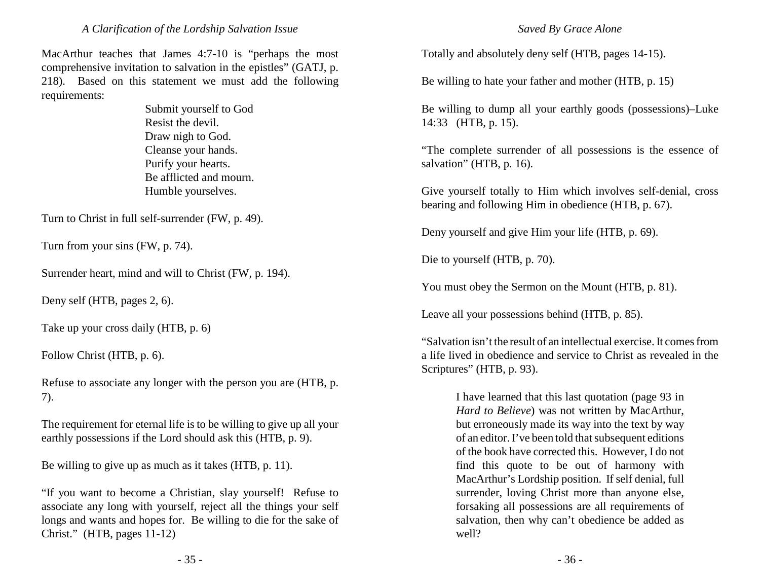MacArthur teaches that James 4:7-10 is "perhaps the most comprehensive invitation to salvation in the epistles" (GATJ, p. 218). Based on this statement we must add the following requirements:

> Submit yourself to God Resist the devil. Draw nigh to God. Cleanse your hands. Purify your hearts. Be afflicted and mourn. Humble yourselves.

Turn to Christ in full self-surrender (FW, p. 49).

Turn from your sins (FW, p. 74).

Surrender heart, mind and will to Christ (FW, p. 194).

Deny self (HTB, pages 2, 6).

Take up your cross daily (HTB, p. 6)

Follow Christ (HTB, p. 6).

Refuse to associate any longer with the person you are (HTB, p. 7).

The requirement for eternal life is to be willing to give up all your earthly possessions if the Lord should ask this (HTB, p. 9).

Be willing to give up as much as it takes (HTB, p. 11).

"If you want to become a Christian, slay yourself! Refuse to associate any long with yourself, reject all the things your self longs and wants and hopes for. Be willing to die for the sake of Christ." (HTB, pages 11-12)

Totally and absolutely deny self (HTB, pages 14-15).

Be willing to hate your father and mother (HTB, p. 15)

Be willing to dump all your earthly goods (possessions)–Luke 14:33 (HTB, p. 15).

"The complete surrender of all possessions is the essence of salvation" (HTB, p. 16).

Give yourself totally to Him which involves self-denial, cross bearing and following Him in obedience (HTB, p. 67).

Deny yourself and give Him your life (HTB, p. 69).

Die to yourself (HTB, p. 70).

You must obey the Sermon on the Mount (HTB, p. 81).

Leave all your possessions behind (HTB, p. 85).

"Salvation isn't the result of an intellectual exercise. It comes from a life lived in obedience and service to Christ as revealed in the Scriptures" (HTB, p. 93).

> I have learned that this last quotation (page 93 in *Hard to Believe*) was not written by MacArthur, but erroneously made its way into the text by way of an editor. I've been told that subsequent editions of the book have corrected this. However, I do not find this quote to be out of harmony with MacArthur's Lordship position. If self denial, full surrender, loving Christ more than anyone else, forsaking all possessions are all requirements of salvation, then why can't obedience be added as well?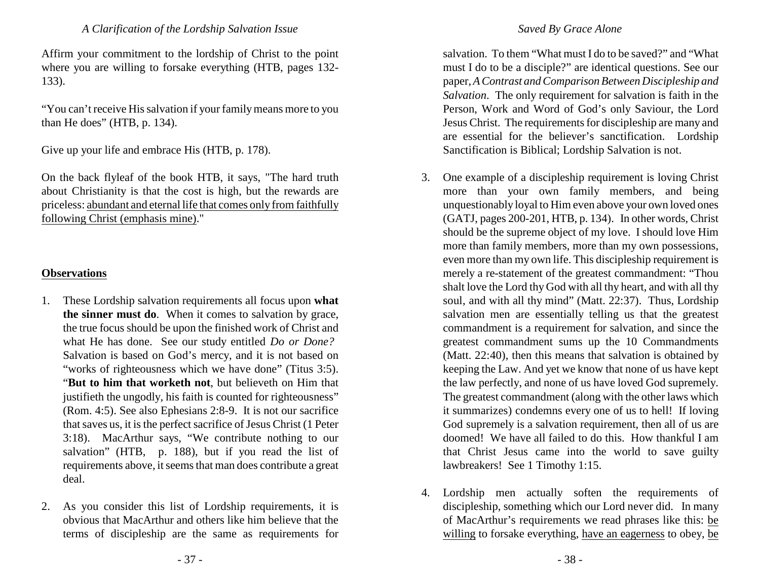Affirm your commitment to the lordship of Christ to the point where you are willing to forsake everything (HTB, pages 132- 133).

"You can't receive His salvation if your familymeans more to you than He does" (HTB, p. 134).

Give up your life and embrace His (HTB, p. 178).

On the back flyleaf of the book HTB, it says, "The hard truth about Christianity is that the cost is high, but the rewards are priceless: abundant and eternal life that comes only from faithfully following Christ (emphasis mine)."

#### **Observations**

- 1. These Lordship salvation requirements all focus upon **what the sinner must do**. When it comes to salvation by grace, the true focus should be upon the finished work of Christ and what He has done. See our study entitled *Do or Done?* Salvation is based on God's mercy, and it is not based on "works of righteousness which we have done" (Titus 3:5). "**But to him that worketh not**, but believeth on Him that justifieth the ungodly, his faith is counted for righteousness" (Rom. 4:5). See also Ephesians 2:8-9. It is not our sacrifice that saves us, it is the perfect sacrifice of Jesus Christ (1 Peter 3:18). MacArthur says, "We contribute nothing to our salvation" (HTB, p. 188), but if you read the list of requirements above, it seems that man does contribute a great deal.
- 2. As you consider this list of Lordship requirements, it is obvious that MacArthur and others like him believe that the terms of discipleship are the same as requirements for

#### *Saved By Grace Alone*

salvation. To them "What must I do to be saved?" and "What must I do to be a disciple?" are identical questions. See our paper, *A Contrast and Comparison Between Discipleship and Salvation*. The only requirement for salvation is faith in the Person, Work and Word of God's only Saviour, the Lord Jesus Christ. The requirements for discipleship are many and are essential for the believer's sanctification. Lordship Sanctification is Biblical; Lordship Salvation is not.

- 3. One example of a discipleship requirement is loving Christ more than your own family members, and being unquestionably loyal to Him even above your own loved ones (GATJ, pages 200-201, HTB, p. 134). In other words, Christ should be the supreme object of my love. I should love Him more than family members, more than my own possessions, even more than my own life. This discipleship requirement is merely a re-statement of the greatest commandment: "Thou shalt love the Lord thy God with all thy heart, and with all thy soul, and with all thy mind" (Matt. 22:37). Thus, Lordship salvation men are essentially telling us that the greatest commandment is a requirement for salvation, and since the greatest commandment sums up the 10 Commandments (Matt. 22:40), then this means that salvation is obtained by keeping the Law. And yet we know that none of us have kept the law perfectly, and none of us have loved God supremely. The greatest commandment (along with the other laws which it summarizes) condemns every one of us to hell! If loving God supremely is a salvation requirement, then all of us are doomed! We have all failed to do this. How thankful I am that Christ Jesus came into the world to save guilty lawbreakers! See 1 Timothy 1:15.
- 4. Lordship men actually soften the requirements of discipleship, something which our Lord never did. In many of MacArthur's requirements we read phrases like this: be willing to forsake everything, have an eagerness to obey, be